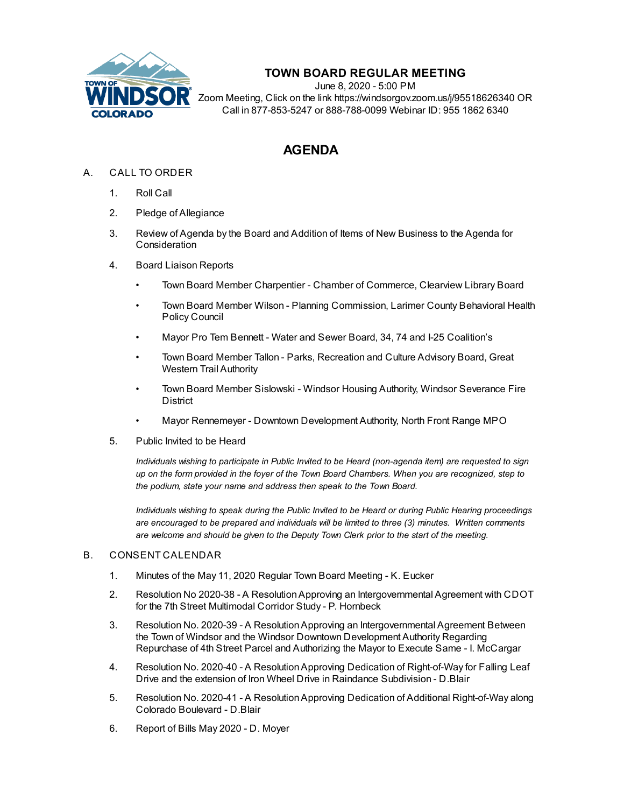

## **TOWN BOARD REGULAR MEETING**

June 8, 2020 - 5:00 PM Zoom Meeting, Click on the link https://windsorgov.zoom.us/j/95518626340 OR Call in 877-853-5247 or 888-788-0099 Webinar ID: 955 1862 6340

# **AGENDA**

### A. CALL TO ORDER

- 1. Roll Call
- 2. Pledge of Allegiance
- 3. Review of Agenda by the Board and Addition of Items of New Business to the Agenda for **Consideration**
- 4. Board Liaison Reports
	- Town Board Member Charpentier Chamber of Commerce, Clearview Library Board
	- Town Board Member Wilson Planning Commission, Larimer County Behavioral Health Policy Council
	- Mayor Pro Tem Bennett Water and Sewer Board, 34, 74 and I-25 Coalition's
	- Town Board Member Tallon Parks, Recreation and Culture Advisory Board, Great Western Trail Authority
	- Town Board Member Sislowski Windsor Housing Authority, Windsor Severance Fire **District**
	- Mayor Rennemeyer Downtown Development Authority, North Front Range MPO
- 5. Public Invited to be Heard

*Individuals wishing to participate in Public Invited to be Heard (non-agenda item) are requested to sign* up on the form provided in the foyer of the Town Board Chambers. When you are recognized, step to *the podium, state your name and address then speak to the Town Board.*

*Individuals wishing to speak during the Public Invited to be Heard or during Public Hearing proceedings are encouraged to be prepared and individuals will be limited to three (3) minutes. Written comments are welcome and should be given to the Deputy Town Clerk prior to the start of the meeting.*

#### B. CONSENT CALENDAR

- 1. Minutes of the May 11, 2020 Regular Town Board [Meeting](file:///C:/Windows/TEMP/CoverSheet.aspx?ItemID=907&MeetingID=125) K. Eucker
- 2. Resolution No 2020-38 A [ResolutionApproving](file:///C:/Windows/TEMP/CoverSheet.aspx?ItemID=891&MeetingID=125) an Intergovernmental Agreement with CDOT for the 7th Street Multimodal Corridor Study - P. Hornbeck
- 3. Resolution No. 2020-39 A [ResolutionApproving](file:///C:/Windows/TEMP/CoverSheet.aspx?ItemID=899&MeetingID=125) an Intergovernmental Agreement Between the Town of Windsor and the Windsor Downtown Development Authority Regarding Repurchase of 4th Street Parcel and Authorizing the Mayor to Execute Same - I. McCargar
- 4. Resolution No. 2020-40 A [ResolutionApproving](file:///C:/Windows/TEMP/CoverSheet.aspx?ItemID=904&MeetingID=125) Dedication of Right-of-Way for Falling Leaf Drive and the extension of Iron Wheel Drive in Raindance Subdivision - D.Blair
- 5. Resolution No. 2020-41 A Resolution Approving Dedication of Additional Right-of-Way along Colorado Boulevard - D.Blair
- 6. [Report](file:///C:/Windows/TEMP/CoverSheet.aspx?ItemID=901&MeetingID=125) of Bills May 2020 D. Moyer